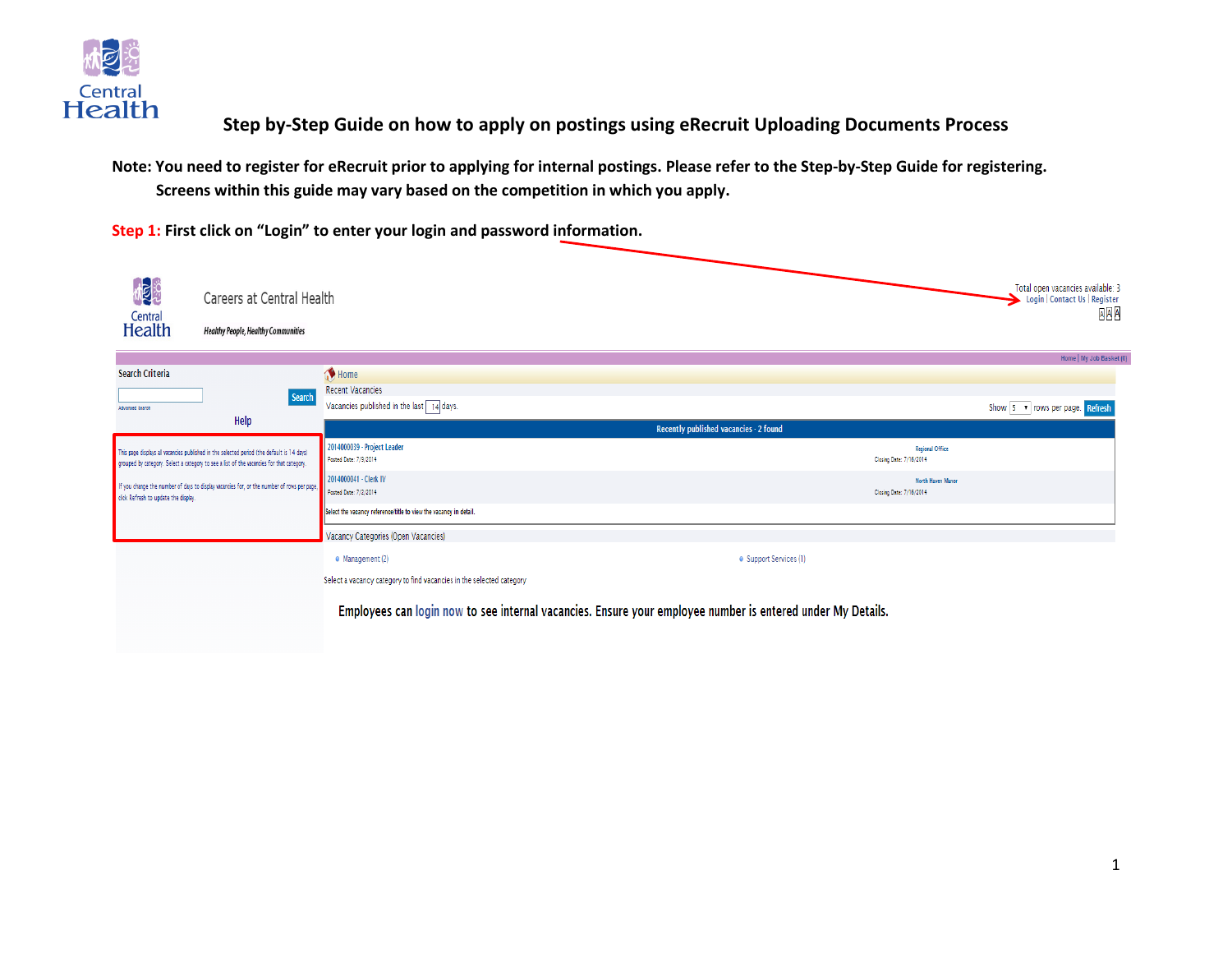

## **Step by-Step Guide on how to apply on postings using eRecruit Uploading Documents Process**

**Note: You need to register for eRecruit prior to applying for internal postings. Please refer to the Step-by-Step Guide for registering. Screens within this guide may vary based on the competition in which you apply.**

**Step 1: First click on "Login" to enter your login and password information.**Mga Total open vacancies available: 3 Careers at Central Health Login | Contact Us | Register AAA Central **Health Healthy People, Healthy Communities** Home | My Job Basket (0) Search Criteria Home **Recent Vacancies** Search Vacancies published in the last  $\boxed{14}$  days. Show 5 v rows per page. Refresh Advanced Search Help Recently published vacancies - 2 found 2014000039 - Project Leader Regional Office .<br>This page displays all vacancies published in the selected period (the default is 14 days) Posted Date: 7/9/2014 Closing Date: 7/16/2014 grouped by category. Select a category to see a list of the vacancies for that category. 2014000041 - Clerk IV North Haven Manor If you change the number of days to display vacancies for, or the number of rows per page Posted Date: 7/2/2014 Closing Date: 7/16/2014 click Refresh to update the display. Select the vacancy reference/title to view the vacancy in detail. Vacancy Categories (Open Vacancies)  $\bullet$  Management (2) · Support Services (1) Select a vacancy category to find vacancies in the selected category

Employees can login now to see internal vacancies. Ensure your employee number is entered under My Details.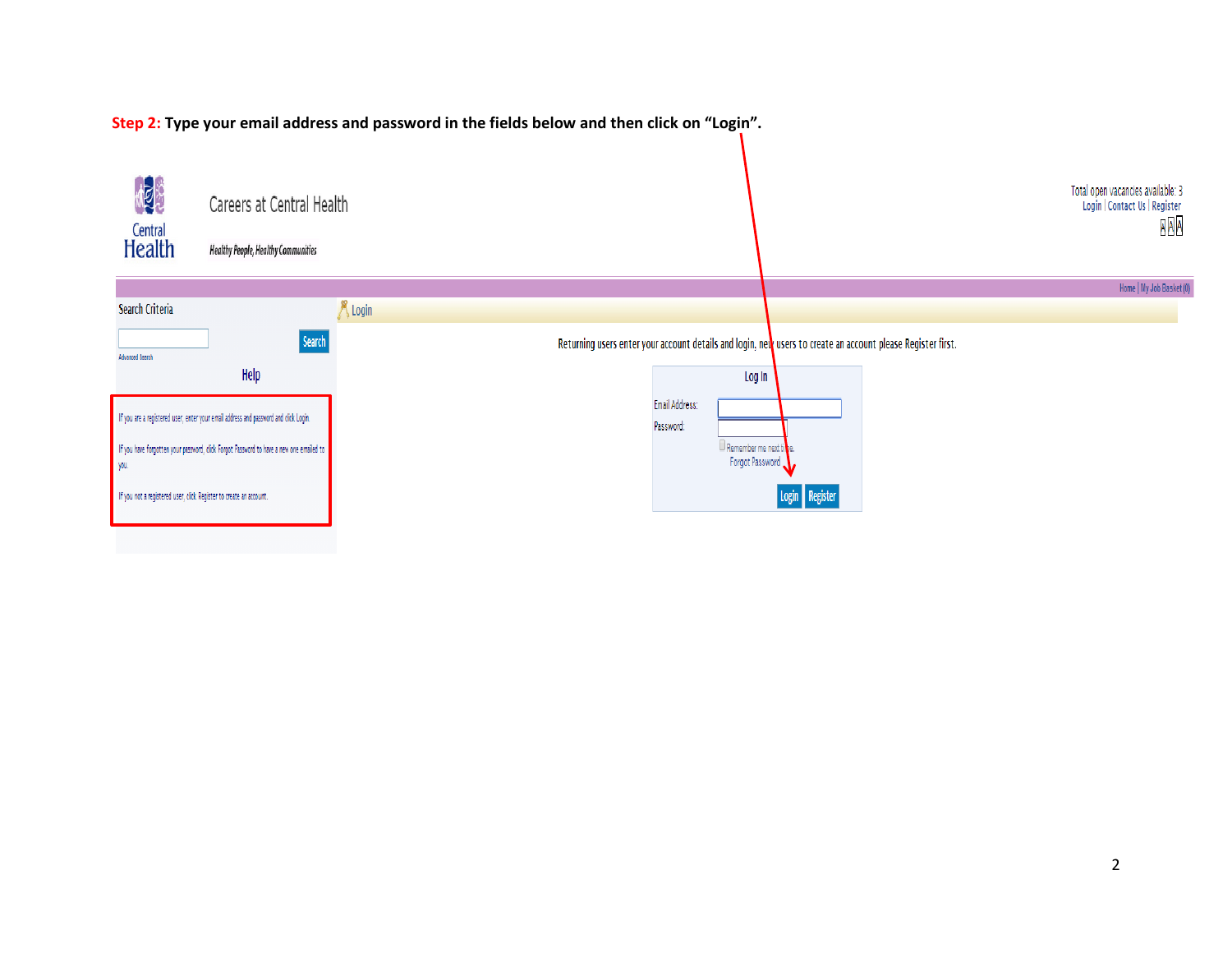

**Step 2: Type your email address and password in the fields below and then click on "Login".**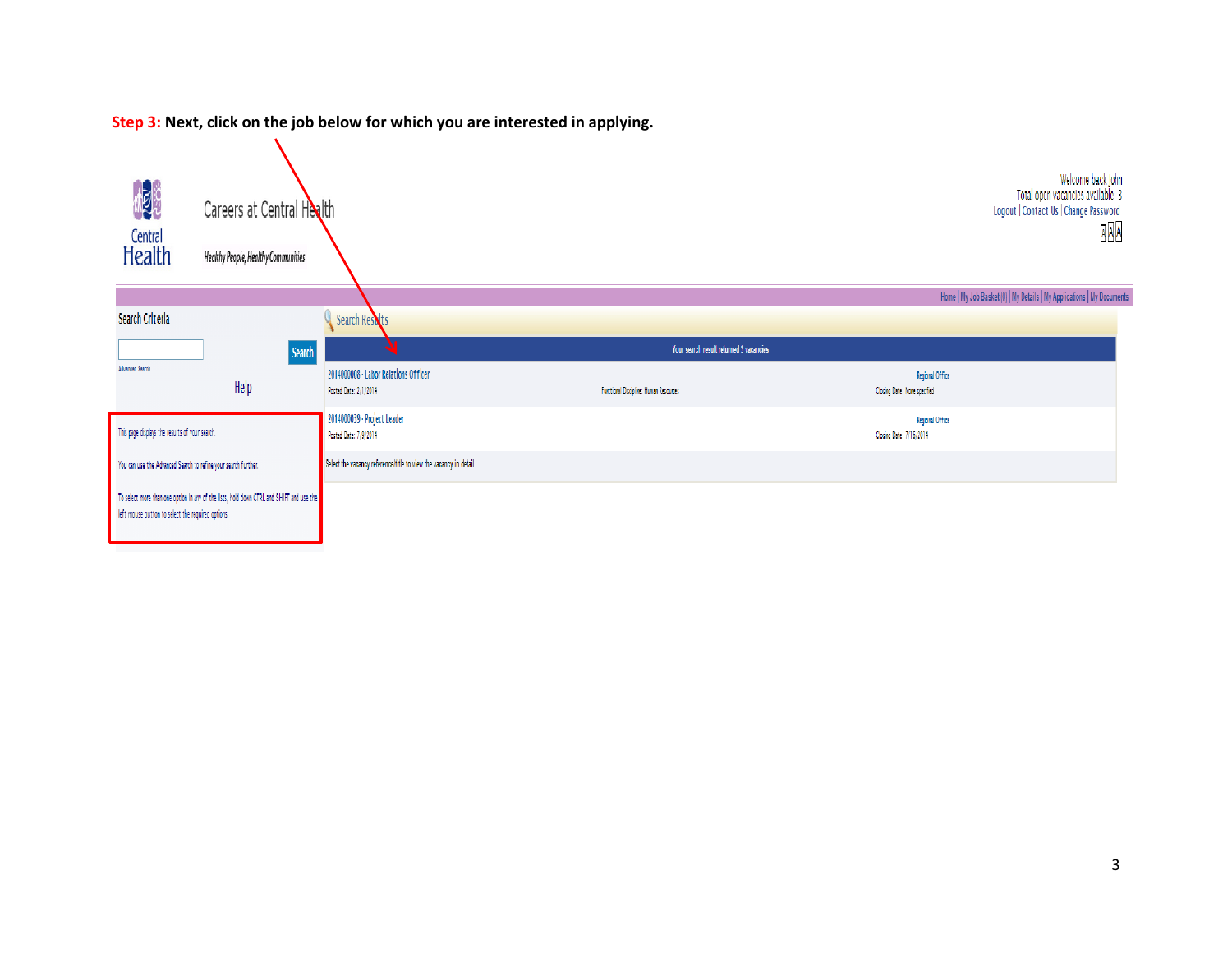**Step 3: Next, click on the job below for which you are interested in applying.**

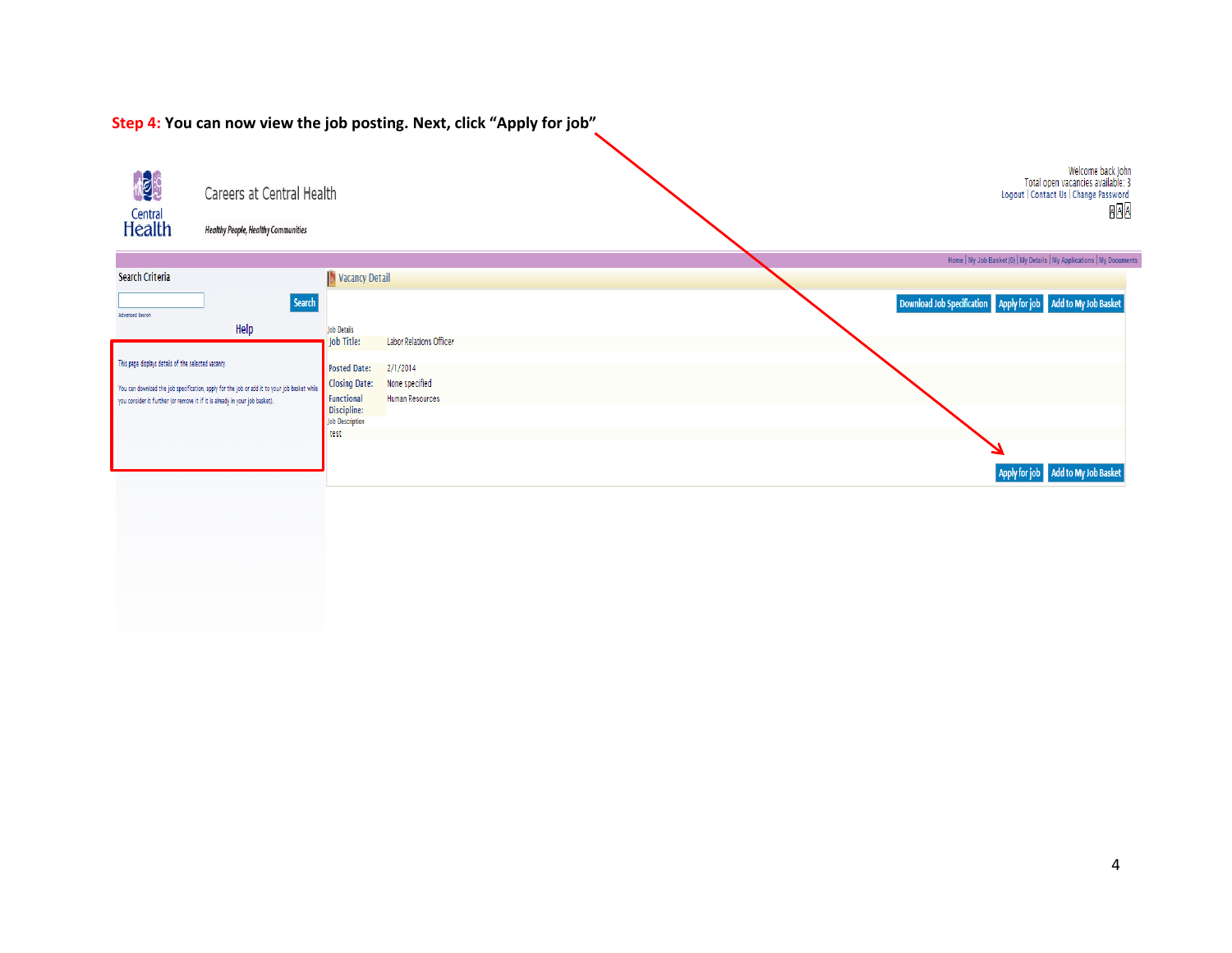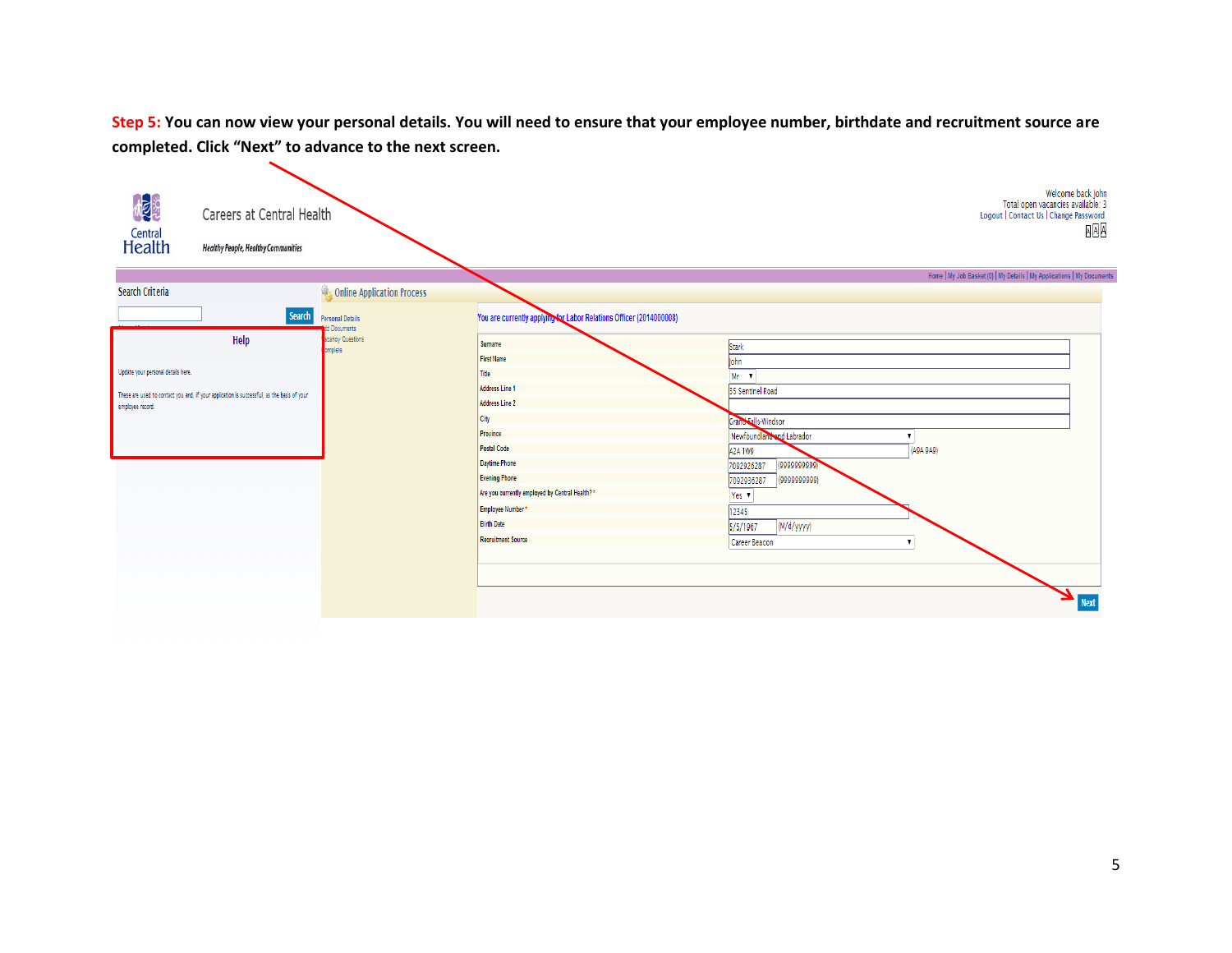**Step 5: You can now view your personal details. You will need to ensure that your employee number, birthdate and recruitment source are completed. Click "Next" to advance to the next screen.**

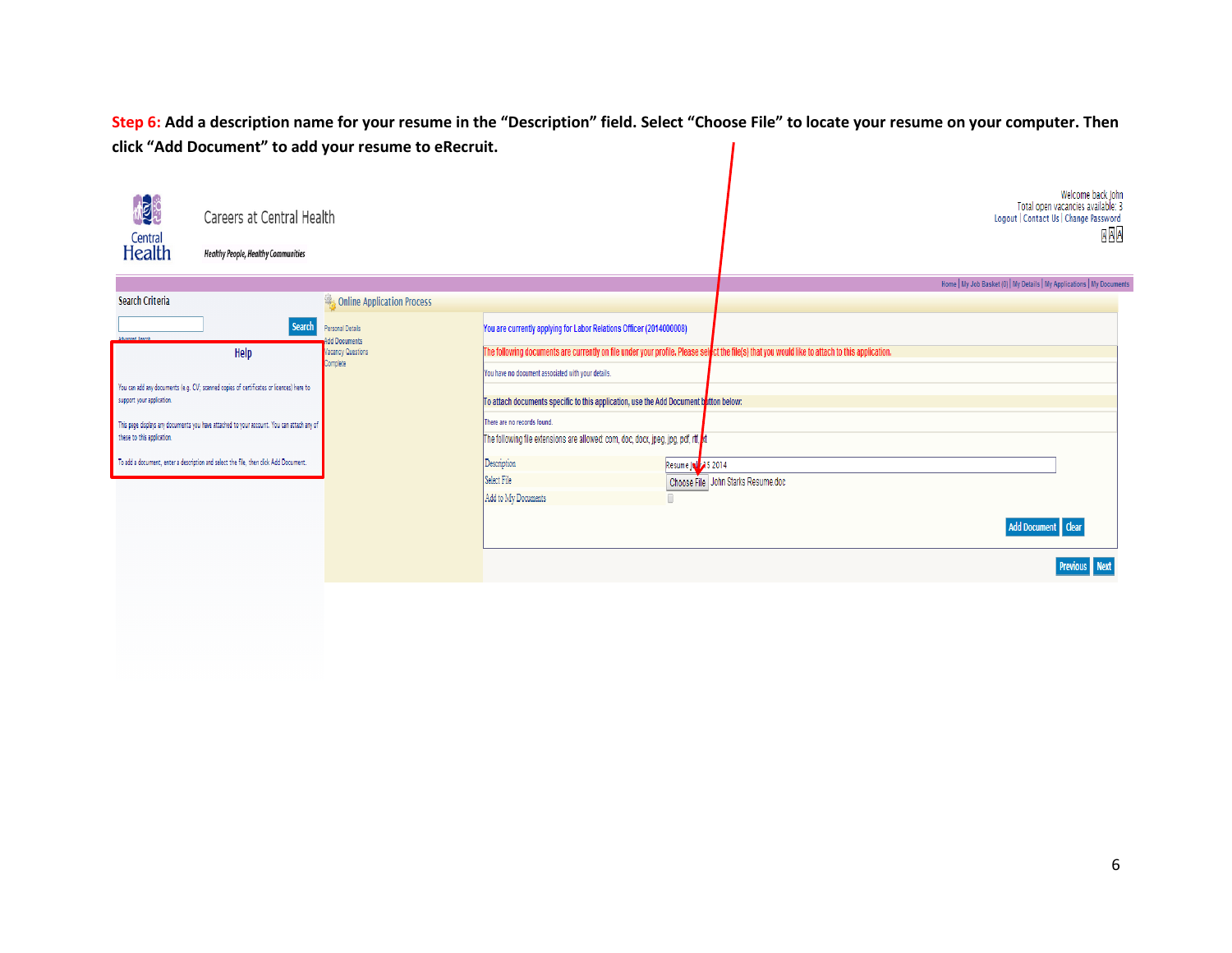**Step 6: Add a description name for your resume in the "Description" field. Select "Choose File" to locate your resume on your computer. Then click "Add Document" to add your resume to eRecruit.**

| <b>ME</b> R<br>Central<br>Health                                                                                        | Careers at Central Health<br><b>Healthy People, Healthy Communities</b> |                                  |                                                                                                                                            | Welcome back John<br>Total open vacancies available: 3<br>Logout   Contact Us   Change Password<br><b>AAA</b>                                                 |
|-------------------------------------------------------------------------------------------------------------------------|-------------------------------------------------------------------------|----------------------------------|--------------------------------------------------------------------------------------------------------------------------------------------|---------------------------------------------------------------------------------------------------------------------------------------------------------------|
|                                                                                                                         |                                                                         |                                  | Home   My Job Basket (0)   My Details   My Applications   My Documents                                                                     |                                                                                                                                                               |
| Search Criteria                                                                                                         |                                                                         | Online Application Process       |                                                                                                                                            |                                                                                                                                                               |
|                                                                                                                         | Search                                                                  | Personal Details<br>dd Documents | You are currently applying for Labor Relations Officer (2014000008)                                                                        |                                                                                                                                                               |
|                                                                                                                         | Help                                                                    | Vacancy Questions                |                                                                                                                                            | The following documents are currently on file under your profile. Please sel <mark>l</mark> ct the file(s) that you would like to attach to this application. |
| You can add any documents (e.g. CV; scanned copies of certificates or licences) here to<br>support your application.    |                                                                         | Complete                         | You have no document associated with your details.<br>To attach documents specific to this application, use the Add Document button below: |                                                                                                                                                               |
| This page displays any documents you have attached to your account. You can attach any of<br>these to this application. |                                                                         |                                  | There are no records found.<br>The following file extensions are allowed: com, doc, docx, jpeg, jpg, pdf, rtf, kt                          |                                                                                                                                                               |
| To add a document, enter a description and select the file, then click Add Document.                                    |                                                                         |                                  | Description                                                                                                                                | Resume Joy 35 2014                                                                                                                                            |
|                                                                                                                         |                                                                         |                                  | Select File<br>Add to My Documents                                                                                                         | Choose File John Starks Resume.doc                                                                                                                            |
|                                                                                                                         |                                                                         |                                  |                                                                                                                                            | Add Document   Clear                                                                                                                                          |
|                                                                                                                         |                                                                         |                                  |                                                                                                                                            | <b>Previous</b> Next                                                                                                                                          |
|                                                                                                                         |                                                                         |                                  |                                                                                                                                            |                                                                                                                                                               |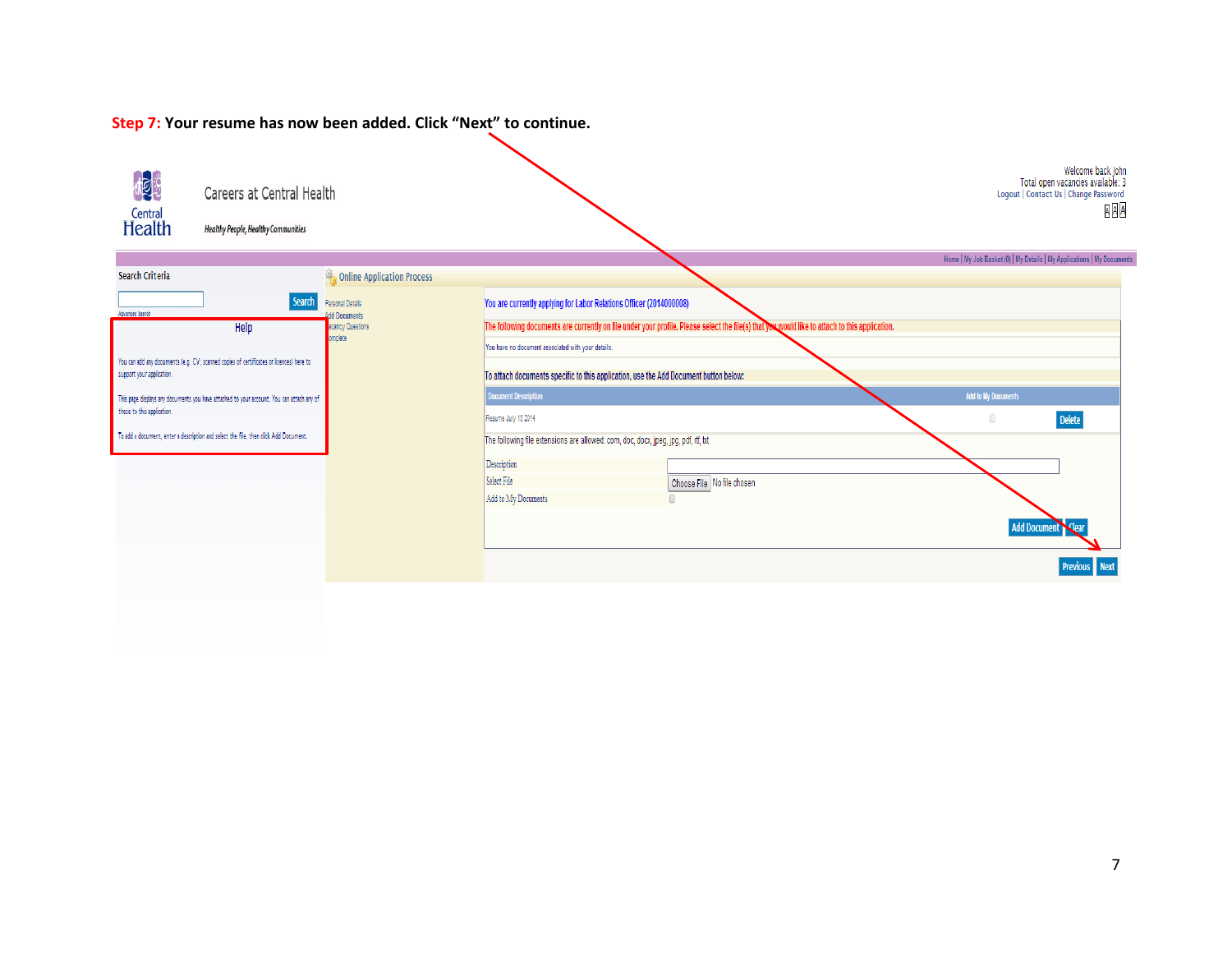#### Welcome back John MER Total open vacancies available: 3<br>Logout | Contact Us | Change Password Careers at Central Health **AAA** Central<br>Health **Healthy People, Healthy Communities** Home | My Job Basket (0) | My Details | My Applications | My Documents Search Criteria Online Application Process **Search** Personal Details You are currently applying for Labor Relations Officer (2014000008) Advanced Search **Add Documents** Help The following documents are currently on file under your profile. Please select the file(s) that you would like to attach to this application. acancy Questions atelom You have no document associated with your details. You can add any documents (e.g. CV; scanned copies of certificates or licences) here to support your application. To attach documents specific to this application, use the Add Document button below: .<br>Document Description Add to My Documents This page displays any documents you have attached to your account. You can attach any of these to this application. **Delete** Resume July 15 2014  $\Box$ To add a document, enter a description and select the file, then click Add Document. The following file extensions are allowed: com, doc, docx, jpeg, jpg, pdf, rtf, bt Description Select File Choose File No file chosen Add to My Documents  $\overline{\phantom{0}}$ **Add Document**  $\blacksquare$ **Previous** Next

### **Step 7: Your resume has now been added. Click "Next" to continue.**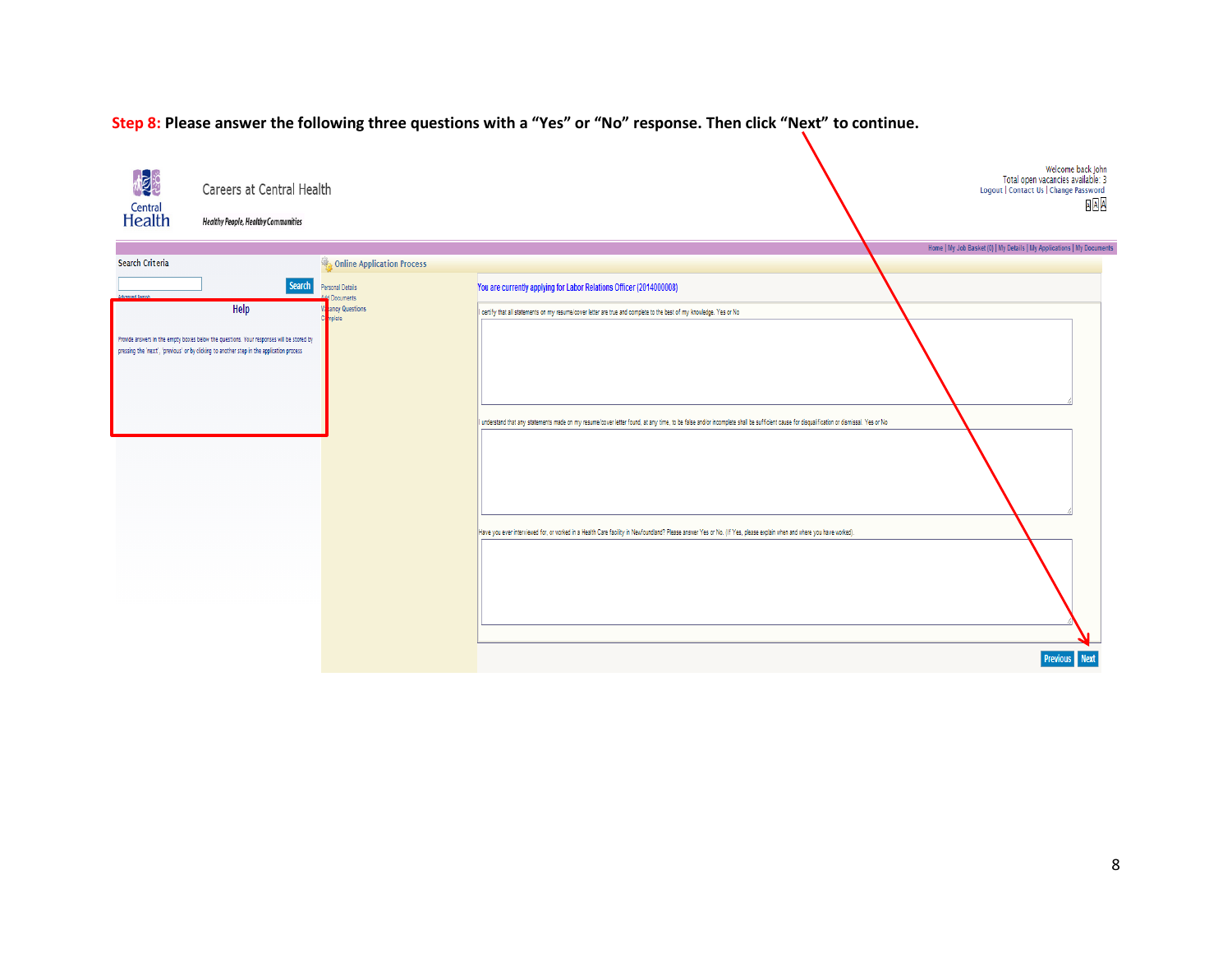

#### **Step 8: Please answer the following three questions with a "Yes" or "No" response. Then click "Next" to continue.**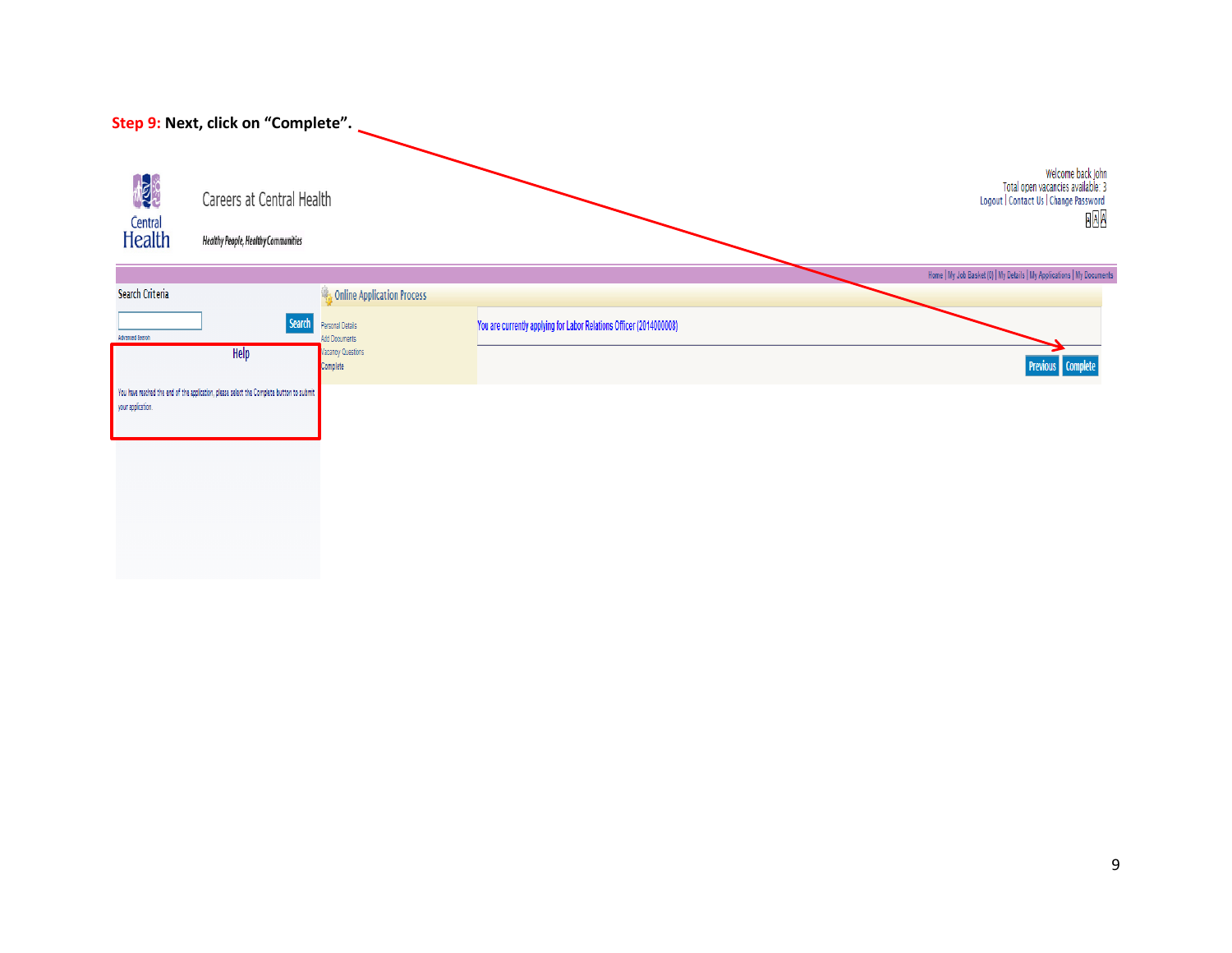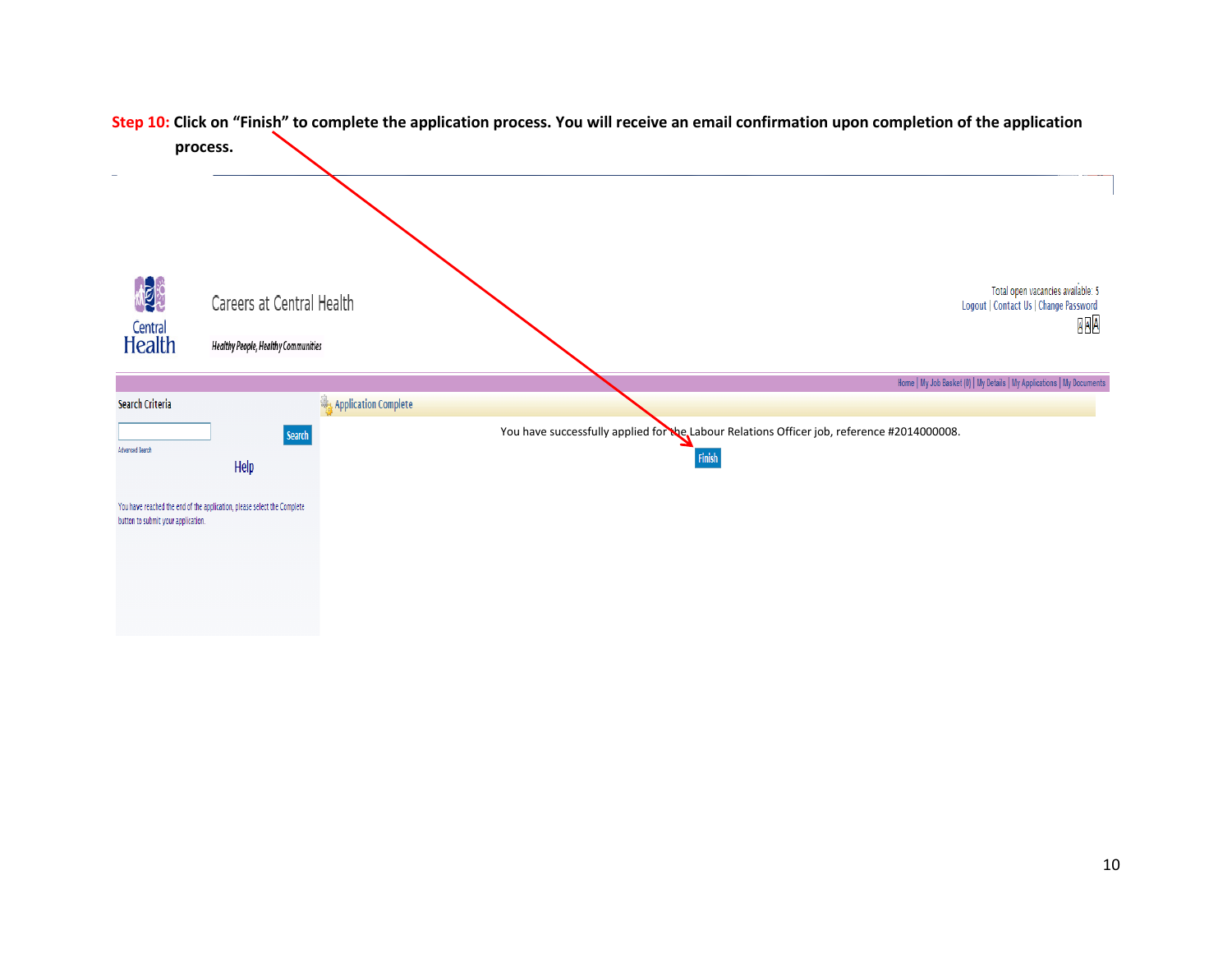

# **Step 10: Click on "Finish" to complete the application process. You will receive an email confirmation upon completion of the application**